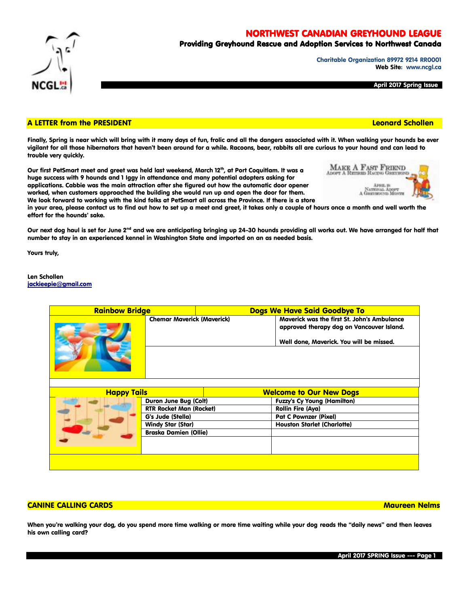NORTHWEST CANADIAN GREYHOUND LEAGUE

# Providing Greyhound Rescue and Adoption Services to Northwest Canada

Charitable Organization 89972 9214 RR0001 Web Site: www.ncgl.ca

NATIONAL ADGET

April 2017 Spring Issue

## A LETTER from the PRESIDENT Leonard Schollen

Finally, Spring is near which will bring with it many days of fun, frolic and all the dangers associated with it. When walking your hounds be ever vigilant for all those hibernators that haven't been around for a while. Racoons, bear, rabbits all are curious to your hound and can lead to trouble very quickly.

Our first PetSmart meet and greet was held last weekend, March 12<sup>th</sup>, at Port Coquitlam. It was a huge success with 9 hounds and 1 Iggy in attendance and many potential adopters asking for applications. Cabbie was the main attraction after she figured out how the automatic door opener worked, when customers approached the building she would run up and open the door for them. We look forward to working with the kind folks at PetSmart all across the Province. If there is a store

in your area, please contact us to find out how to set up a meet and greet, it takes only a couple of hours once a month and well worth the effort for the hounds' sake.

Our next dog haul is set for June 2<sup>nd</sup> and we are anticipating bringing up 24-30 hounds providing all works out. We have arranged for half that number to stay in an experienced kennel in Washington State and imported on an as needed basis.

Yours truly,

Len Schollen [jackieepie@gmail.com](mailto:jackieepie@gmail.com)

| <b>Rainbow Bridge</b> |                                   | Dogs We Have Said Goodbye To   |                                                                                                                                      |  |
|-----------------------|-----------------------------------|--------------------------------|--------------------------------------------------------------------------------------------------------------------------------------|--|
|                       | <b>Chemar Maverick (Maverick)</b> |                                | Maverick was the first St. John's Ambulance<br>approved therapy dog on Vancouver Island.<br>Well done, Maverick. You will be missed. |  |
|                       |                                   |                                |                                                                                                                                      |  |
|                       |                                   |                                |                                                                                                                                      |  |
| Tails<br><b>Happy</b> |                                   | <b>Welcome to Our New Dogs</b> |                                                                                                                                      |  |

| <b>Happy Tails</b> |                                | <b>Welcome to Our New Dogs</b> |                                    |  |
|--------------------|--------------------------------|--------------------------------|------------------------------------|--|
|                    | Duron June Bug (Colt)          |                                | <b>Fuzzy's Cy Young (Hamilton)</b> |  |
|                    | <b>RTR Rocket Man (Rocket)</b> |                                | <b>Rollin Fire (Aya)</b>           |  |
|                    | G's Jude (Stella)              |                                | <b>Pat C Pownzer (Pixel)</b>       |  |
|                    | <b>Windy Star (Star)</b>       |                                | <b>Houston Starlet (Charlotte)</b> |  |
|                    | <b>Braska Damien (Ollie)</b>   |                                |                                    |  |
|                    |                                |                                |                                    |  |
|                    |                                |                                |                                    |  |
|                    |                                |                                |                                    |  |
|                    |                                |                                |                                    |  |

## CANINE CALLING CARDS Maureen Nelms

When you're walking your dog, do you spend more time walking or more time waiting while your dog reads the "daily news" and then leaves his own calling card?



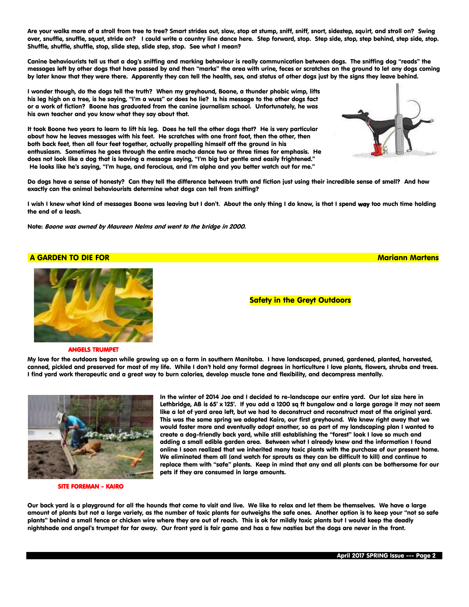Are your walks more of a stroll from tree to tree? Smart strides out, slow, stop at stump, sniff, sniff, snort, sidestep, squirt, and stroll on? Swing over, snuffle, snuffle, squat, stride on? I could write a country line dance here. Step forward, stop. Step side, stop, step behind, step side, stop. Shuffle, shuffle, shuffle, stop, slide step, slide step, stop. See what I mean?

Canine behaviourists tell us that a dog's sniffing and marking behaviour is really communication between dogs. The sniffing dog "reads" the messages left by other dogs that have passed by and then "marks" the area with urine, feces or scratches on the ground to let any dogs coming by later know that they were there. Apparently they can tell the health, sex, and status of other dogs just by the signs they leave behind.

I wonder though, do the dogs tell the truth? When my greyhound, Boone, a thunder phobic wimp, lifts his leg high on a tree, is he saying, "I'm a wuss" or does he lie? Is his message to the other dogs fact or a work of fiction? Boone has graduated from the canine journalism school. Unfortunately, he was his own teacher and you know what they say about that.

It took Boone two years to learn to lift his leg. Does he tell the other dogs that? He is very particular about how he leaves messages with his feet. He scratches with one front foot, then the other, then both back feet, then all four feet together, actually propelling himself off the ground in his enthusiasm. Sometimes he goes through the entire macho dance two or three times for emphasis. He does not look like a dog that is leaving a message saying, "I'm big but gentle and easily frightened." He looks like he's saying, "I'm huge, and ferocious, and I'm alpha and you better watch out for me."



Do dogs have a sense of honesty? Can they tell the difference between truth and fiction just using their incredible sense of smell? And how exactly can the animal behaviourists determine what dogs can tell from sniffing?

I wish I knew what kind of messages Boone was leaving but I don't. About the only thing I do know, is that I spend way too much time holding the end of a leash.

Note: Boone was owned by Maureen Nelms and went to the bridge in 2000.

# A GARDEN TO DIE FOR MARIA AND DE SOLO AND DE SOLO AND DE SOLO AND DE SOLO AND DE SOLO AND DE SOLO AND DE SOLO



Safety in the Greyt Outdoors

### ANGELS TRUMPET

My love for the outdoors began while growing up on a farm in southern Manitoba. I have landscaped, pruned, gardened, planted, harvested, canned, pickled and preserved for most of my life. While I don't hold any formal degrees in horticulture I love plants, flowers, shrubs and trees. I find yard work therapeutic and a great way to burn calories, develop muscle tone and flexibility, and decompress mentally.



SITE FOREMAN - KAIRO

In the winter of 2014 Joe and I decided to re-landscape our entire yard. Our lot size here in Lethbridge, AB is 65' x 125'. If you add a 1200 sq ft bungalow and a large garage it may not seem like a lot of yard area left, but we had to deconstruct and reconstruct most of the original yard. This was the same spring we adopted Kairo, our first greyhound. We knew right away that we would foster more and eventually adopt another, so as part of my landscaping plan I wanted to create a dog-friendly back yard, while still establishing the "forest" look I love so much and adding a small edible garden area. Between what I already knew and the information I found online I soon realized that we inherited many toxic plants with the purchase of our present home. We eliminated them all (and watch for sprouts as they can be difficult to kill) and continue to replace them with "safe" plants. Keep in mind that any and all plants can be bothersome for our pets if they are consumed in large amounts.

Our back yard is a playground for all the hounds that come to visit and live. We like to relax and let them be themselves. We have a large amount of plants but not a large variety, as the number of toxic plants far outweighs the safe ones. Another option is to keep your "not so safe plants" behind a small fence or chicken wire where they are out of reach. This is ok for mildly toxic plants but I would keep the deadly nightshade and angel's trumpet far far away. Our front yard is fair game and has a few nasties but the dogs are never in the front.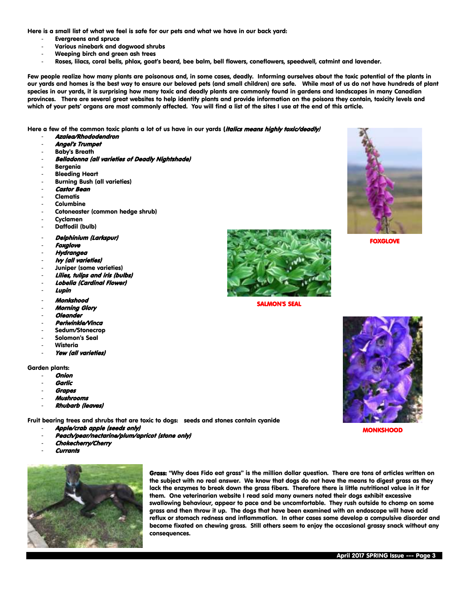Here is a small list of what we feel is safe for our pets and what we have in our back yard:

- Evergreens and spruce
- Various ninebark and dogwood shrubs
- Weeping birch and green ash trees
- Roses, lilacs, coral bells, phlox, goat's beard, bee balm, bell flowers, coneflowers, speedwell, catmint and lavender.

Few people realize how many plants are poisonous and, in some cases, deadly. Informing ourselves about the toxic potential of the plants in our yards and homes is the best way to ensure our beloved pets (and small children) are safe. While most of us do not have hundreds of plant species in our yards, it is surprising how many toxic and deadly plants are commonly found in gardens and landscapes in many Canadian provinces. There are several great websites to help identify plants and provide information on the poisons they contain, toxicity levels and which of your pets' organs are most commonly affected. You will find a list of the sites I use at the end of this article.

Here a few of the common toxic plants a lot of us have in our yards (italics means highly toxic/deadly)

- Azalea/Rhododendron
- Angel's Trumpet
- Baby's Breath
- Belladonna (all varieties of Deadly Nightshade)
- **Bergenia**
- **Bleeding Heart**
- Burning Bush (all varieties)
- **Castor Bean**
- **Clematis**
- **Columbine**
- Cotoneaster (common hedge shrub)
- **Cyclamen**
- Daffodil (bulb)
- Delphinium (Larkspur)
- **Foxglove**
- **Hydrangea**
- Ivy (all varieties)
- Juniper (some varieties)
- Lilies, tulips and iris (bulbs)
- Lobelia (Cardinal Flower)
- Lupin
- Monkshood
- Morning Glory
- **Oleander**
- Periwinkle/Vinca
- Sedum/Stonecrop
- Solomon's Seal
- **Wisteria**
- Yew (all varieties)

Garden plants:

- **Onion**
- **Garlic**
- **Grapes**
- Mushrooms
- Rhubarb (leaves)

Fruit bearing trees and shrubs that are toxic to dogs: seeds and stones contain cyanide

- Apple/crab apple (seeds only)
- Peach/pear/nectarine/plum/apricot (stone only)
- Chokecherry/Cherry
- **Currants**



Grass: "Why does Fido eat grass" is the million dollar question. There are tons of articles written on the subject with no real answer. We know that dogs do not have the means to digest grass as they lack the enzymes to break down the grass fibers. Therefore there is little nutritional value in it for them. One veterinarian website I read said many owners noted their dogs exhibit excessive swallowing behaviour, appear to pace and be uncomfortable. They rush outside to chomp on some grass and then throw it up. The dogs that have been examined with an endoscope will have acid reflux or stomach redness and inflammation. In other cases some develop a compulsive disorder and become fixated on chewing grass. Still others seem to enjoy the occasional grassy snack without any consequences.



SALMON'S SEAL



FOXGLOVE



MONKSHOOD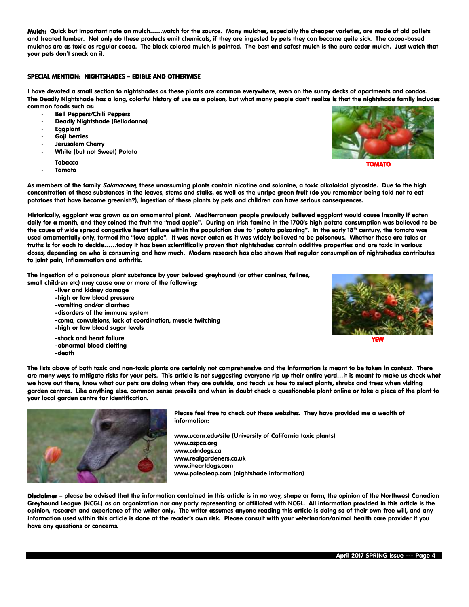Mulch: Quick but important note on mulch……watch for the source. Many mulches, especially the cheaper varieties, are made of old pallets and treated lumber. Not only do these products emit chemicals, if they are ingested by pets they can become quite sick. The cocoa-based mulches are as toxic as regular cocoa. The black colored mulch is painted. The best and safest mulch is the pure cedar mulch. Just watch that your pets don't snack on it.

## SPECIAL MENTION: NIGHTSHADES – EDIBLE AND OTHERWISE

I have devoted a small section to nightshades as these plants are common everywhere, even on the sunny decks of apartments and condos. The Deadly Nightshade has a long, colorful history of use as a poison, but what many people don't realize is that the nightshade family includes common foods such as:

- Bell Peppers/Chili Peppers
- Deadly Nightshade (Belladonna)
- Eggplant
- Goji berries
- Jerusalem Cherry
- White (but not Sweet) Potato
- **Tobacco**
- **Tomato**

-death



TOMATO

As members of the family Solanaceae, these unassuming plants contain nicotine and solanine, a toxic alkaloidal glycoside. Due to the high concentration of these substances in the leaves, stems and stalks, as well as the unripe green fruit (do you remember being told not to eat potatoes that have become greenish?), ingestion of these plants by pets and children can have serious consequences.

Historically, eggplant was grown as an ornamental plant. Mediterranean people previously believed eggplant would cause insanity if eaten daily for a month, and they coined the fruit the "mad apple". During an Irish famine in the 1700's high potato consumption was believed to be the cause of wide spread congestive heart failure within the population due to "potato poisoning". In the early 18<sup>th</sup> century, the tomato was used ornamentally only, termed the "love apple". It was never eaten as it was widely believed to be poisonous. Whether these are tales or truths is for each to decide……today it has been scientifically proven that nightshades contain additive properties and are toxic in various doses, depending on who is consuming and how much. Modern research has also shown that regular consumption of nightshades contributes to joint pain, inflammation and arthritis.

The ingestion of a poisonous plant substance by your beloved greyhound (or other canines, felines, small children etc) may cause one or more of the following:

-liver and kidney damage -high or low blood pressure -vomiting and/or diarrhea -disorders of the immune system -coma, convulsions, lack of coordination, muscle twitching -high or low blood sugar levels -shock and heart failure -abnormal blood clotting



YEW

The lists above of both toxic and non-toxic plants are certainly not comprehensive and the information is meant to be taken in context. There are many ways to mitigate risks for your pets. This article is not suggesting everyone rip up their entire yard…it is meant to make us check what we have out there, know what our pets are doing when they are outside, and teach us how to select plants, shrubs and trees when visiting garden centres. Like anything else, common sense prevails and when in doubt check a questionable plant online or take a piece of the plant to your local garden centre for identification.



Please feel free to check out these websites. They have provided me a wealth of information:

www.ucanr.edu/site (University of California toxic plants) www.aspca.org www.cdndogs.ca www.realgardeners.co.uk www.iheartdogs.com www.paleoleap.com (nightshade information)

Disclaimer – please be advised that the information contained in this article is in no way, shape or form, the opinion of the Northwest Canadian Greyhound League (NCGL) as an organization nor any party representing or affiliated with NCGL. All information provided in this article is the opinion, research and experience of the writer only. The writer assumes anyone reading this article is doing so of their own free will, and any information used within this article is done at the reader's own risk. Please consult with your veterinarian/animal health care provider if you have any questions or concerns.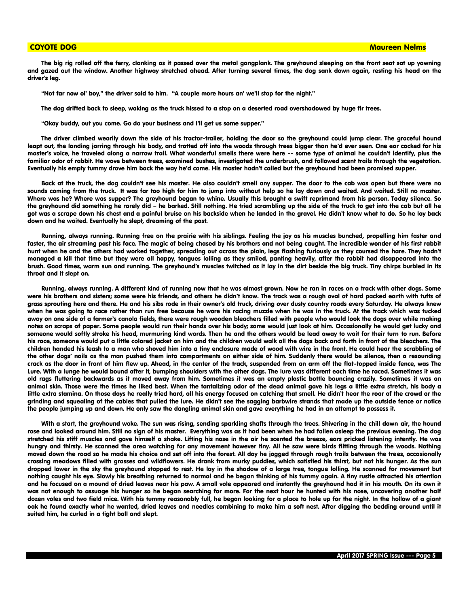The big rig rolled off the ferry, clanking as it passed over the metal gangplank. The greyhound sleeping on the front seat sat up yawning and gazed out the window. Another highway stretched ahead. After turning several times, the dog sank down again, resting his head on the driver's leg.

"Not far now ol' boy," the driver said to him. "A couple more hours an' we'll stop for the night."

The dog drifted back to sleep, waking as the truck hissed to a stop on a deserted road overshadowed by huge fir trees.

"Okay buddy, out you come. Go do your business and I'll get us some supper."

The driver climbed wearily down the side of his tractor-trailer, holding the door so the greyhound could jump clear. The graceful hound leapt out, the landing jarring through his body, and trotted off into the woods through trees bigger than he'd ever seen. One ear cocked for his master's voice, he traveled along a narrow trail. What wonderful smells there were here -- some type of animal he couldn't identify, plus the familiar odor of rabbit. He wove between trees, examined bushes, investigated the underbrush, and followed scent trails through the vegetation. Eventually his empty tummy drove him back the way he'd come. His master hadn't called but the greyhound had been promised supper.

Back at the truck, the dog couldn't see his master. He also couldn't smell any supper. The door to the cab was open but there were no sounds coming from the truck. It was far too high for him to jump into without help so he lay down and waited. And waited. Still no master. Where was he? Where was supper? The greyhound began to whine. Usually this brought a swift reprimand from his person. Today silence. So the greyhound did something he rarely did – he barked. Still nothing. He tried scrambling up the side of the truck to get into the cab but all he got was a scrape down his chest and a painful bruise on his backside when he landed in the gravel. He didn't know what to do. So he lay back down and he waited. Eventually he slept, dreaming of the past.

Running, always running. Running free on the prairie with his siblings. Feeling the joy as his muscles bunched, propelling him faster and faster, the air streaming past his face. The magic of being chased by his brothers and not being caught. The incredible wonder of his first rabbit hunt when he and the others had worked together, spreading out across the plain, legs flashing furiously as they coursed the hare. They hadn't managed a kill that time but they were all happy, tongues lolling as they smiled, panting heavily, after the rabbit had disappeared into the brush. Good times, warm sun and running. The greyhound's muscles twitched as it lay in the dirt beside the big truck. Tiny chirps burbled in its throat and it slept on.

Running, always running. A different kind of running now that he was almost grown. Now he ran in races on a track with other dogs. Some were his brothers and sisters; some were his friends, and others he didn't know. The track was a rough oval of hard packed earth with tufts of grass sprouting here and there. He and his sibs rode in their owner's old truck, driving over dusty country roads every Saturday. He always knew when he was going to race rather than run free because he wore his racing muzzle when he was in the truck. At the track which was tucked away on one side of a farmer's canola fields, there were rough wooden bleachers filled with people who would look the dogs over while making notes on scraps of paper. Some people would run their hands over his body; some would just look at him. Occasionally he would get lucky and someone would softly stroke his head, murmuring kind words. Then he and the others would be lead away to wait for their turn to run. Before his race, someone would put a little colored jacket on him and the children would walk all the dogs back and forth in front of the bleachers. The children handed his leash to a man who shoved him into a tiny enclosure made of wood with wire in the front. He could hear the scrabbling of the other dogs' nails as the man pushed them into compartments on either side of him. Suddenly there would be silence, then a resounding crack as the door in front of him flew up. Ahead, in the center of the track, suspended from an arm off the flat-topped inside fence, was The Lure. With a lunge he would bound after it, bumping shoulders with the other dogs. The lure was different each time he raced. Sometimes it was old rags fluttering backwards as it moved away from him. Sometimes it was an empty plastic bottle bouncing crazily. Sometimes it was an animal skin. Those were the times he liked best. When the tantalizing odor of the dead animal gave his legs a little extra stretch, his body a little extra stamina. On those days he really tried hard, all his energy focused on catching that smell. He didn't hear the roar of the crowd or the grinding and squealing of the cables that pulled the lure. He didn't see the sagging barbwire strands that made up the outside fence or notice the people jumping up and down. He only saw the dangling animal skin and gave everything he had in an attempt to possess it.

With a start, the greyhound woke. The sun was rising, sending sparkling shafts through the trees. Shivering in the chill dawn air, the hound rose and looked around him. Still no sign of his master. Everything was as it had been when he had fallen asleep the previous evening. The dog stretched his stiff muscles and gave himself a shake. Lifting his nose in the air he scented the breeze, ears pricked listening intently. He was hungry and thirsty. He scanned the area watching for any movement however tiny. All he saw were birds flitting through the woods. Nothing moved down the road so he made his choice and set off into the forest. All day he jogged through rough trails between the trees, occasionally crossing meadows filled with grasses and wildflowers. He drank from murky puddles, which satisfied his thirst, but not his hunger. As the sun dropped lower in the sky the greyhound stopped to rest. He lay in the shadow of a large tree, tongue lolling. He scanned for movement but nothing caught his eye. Slowly his breathing returned to normal and he began thinking of his tummy again. A tiny rustle attracted his attention and he focused on a mound of dried leaves near his paw. A small vole appeared and instantly the greyhound had it in his mouth. On its own it was not enough to assuage his hunger so he began searching for more. For the next hour he hunted with his nose, uncovering another half dozen voles and two field mice. With his tummy reasonably full, he began looking for a place to hole up for the night. In the hollow of a giant oak he found exactly what he wanted, dried leaves and needles combining to make him a soft nest. After digging the bedding around until it suited him, he curled in a tight ball and slept.